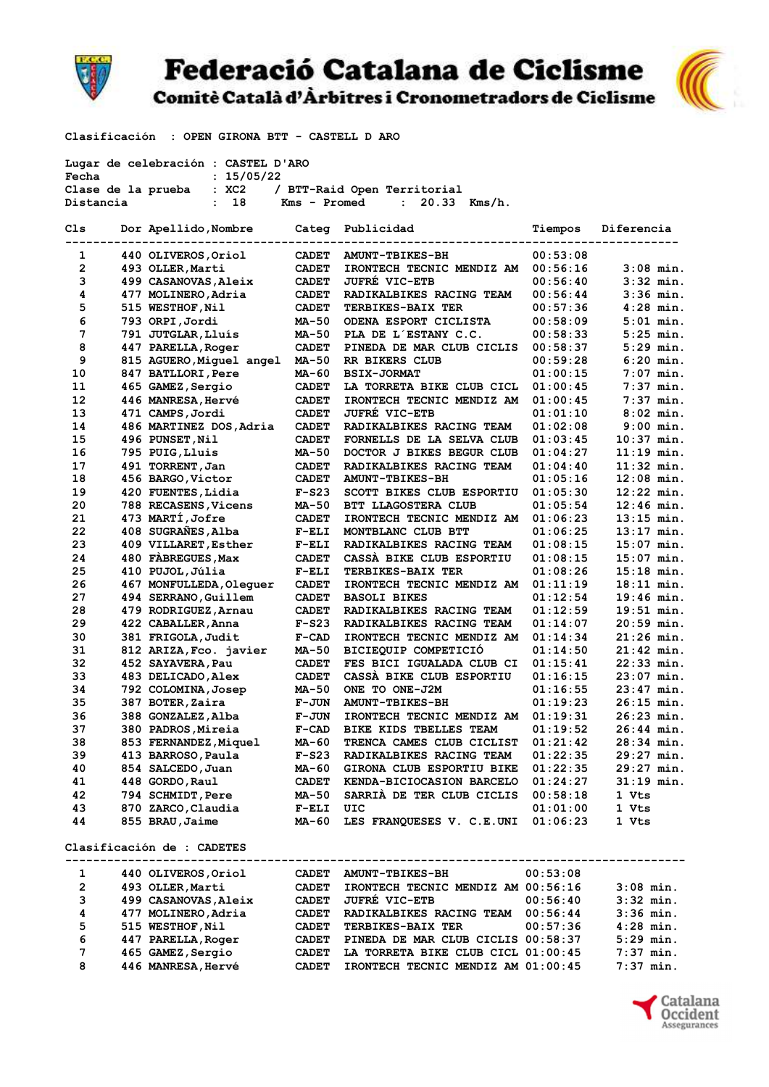

## **Federació Catalana de Ciclisme** Comitè Català d'Àrbitres i Cronometradors de Ciclisme



Clasificación : OPEN GIRONA BTT - CASTELL D ARO

|                | Lugar de celebración : CASTEL D'ARO                         |              |                                        |          |              |
|----------------|-------------------------------------------------------------|--------------|----------------------------------------|----------|--------------|
| Fecha          | : 15/05/22                                                  |              |                                        |          |              |
|                | Clase de la prueba : XC2                                    |              | / BTT-Raid Open Territorial            |          |              |
| Distancia      | $\cdot$ 18                                                  |              | $Kms - Promed : 20.33 Kms/h.$          |          |              |
| Cls            | Dor Apellido, Nombre Categ Publicidad                       |              |                                        | Tiempos  | Diferencia   |
| 1              | ------------------------------------<br>440 OLIVEROS, Oriol | <b>CADET</b> | <b>AMUNT-TBIKES-BH</b>                 | 00:53:08 |              |
|                |                                                             |              |                                        |          |              |
| $\overline{2}$ | 493 OLLER, Marti                                            | <b>CADET</b> | IRONTECH TECNIC MENDIZ AM              | 00:56:16 | $3:08$ min.  |
| 3              | 499 CASANOVAS, Aleix                                        | <b>CADET</b> | <b>JUFRE VIC-ETB</b>                   | 00:56:40 | $3:32$ min.  |
| 4              | 477 MOLINERO, Adria                                         | <b>CADET</b> | RADIKALBIKES RACING TEAM               | 00:56:44 | $3:36$ min.  |
| 5              | 515 WESTHOF, Nil                                            | <b>CADET</b> | <b>TERBIKES-BAIX TER</b>               | 00:57:36 | $4:28$ min.  |
| 6              | 793 ORPI,Jordi                                              | MA-50        | ODENA ESPORT CICLISTA                  | 00:58:09 | $5:01$ min.  |
| 7              | 791 JUTGLAR, Lluís                                          | MA-50        | PLA DE L'ESTANY C.C.                   | 00:58:33 | $5:25$ min.  |
| 8              | 447 PARELLA, Roger                                          | <b>CADET</b> | PINEDA DE MAR CLUB CICLIS              | 00:58:37 | $5:29$ min.  |
| 9              | 815 AGUERO, Miguel angel                                    | MA-50        | RR BIKERS CLUB                         | 00:59:28 | $6:20$ min.  |
| 10             | 847 BATLLORI, Pere                                          | MA-60        | <b>BSIX-JORMAT</b>                     | 01:00:15 | $7:07$ min.  |
| 11             | 465 GAMEZ,Sergio                                            | <b>CADET</b> | LA TORRETA BIKE CLUB CICL              | 01:00:45 | $7:37$ min.  |
| 12             | 446 MANRESA, Hervé                                          | <b>CADET</b> | IRONTECH TECNIC MENDIZ AM              | 01:00:45 | $7:37$ min.  |
| 13             | 471 CAMPS, Jordi                                            | <b>CADET</b> | <b>JUFRE VIC-ETB</b>                   | 01:01:10 | $8:02$ min.  |
| 14             | 486 MARTINEZ DOS, Adria                                     | <b>CADET</b> | RADIKALBIKES RACING TEAM               | 01:02:08 | $9:00$ min.  |
| 15             | 496 PUNSET, Nil                                             | <b>CADET</b> | FORNELLS DE LA SELVA CLUB              | 01:03:45 | $10:37$ min. |
| 16             | 795 PUIG, Lluis                                             | MA-50        | DOCTOR J BIKES BEGUR CLUB              | 01:04:27 | $11:19$ min. |
| 17             | 491 TORRENT, Jan                                            | <b>CADET</b> | RADIKALBIKES RACING TEAM               | 01:04:40 | $11:32$ min. |
| 18             | 456 BARGO,Victor                                            | <b>CADET</b> | <b>AMUNT-TBIKES-BH</b>                 | 01:05:16 | $12:08$ min. |
| 19             | 420 FUENTES, Lidia                                          | $F-S23$      | SCOTT BIKES CLUB ESPORTIU              | 01:05:30 | $12:22$ min. |
| 20             | 788 RECASENS, Vicens                                        | <b>MA-50</b> | BTT LLAGOSTERA CLUB                    | 01:05:54 | $12:46$ min. |
| 21             | 473 MARTÍ, Jofre                                            | <b>CADET</b> | IRONTECH TECNIC MENDIZ AM              | 01:06:23 | $13:15$ min. |
| 22             | 408 SUGRANES, Alba                                          | $F-ELI$      | MONTBLANC CLUB BTT                     | 01:06:25 | $13:17$ min. |
| 23             | 409 VILLARET, Esther                                        | $F-ELI$      | RADIKALBIKES RACING TEAM               | 01:08:15 | $15:07$ min. |
|                |                                                             |              |                                        |          |              |
| 24             | 480 FABREGUES, Max                                          | <b>CADET</b> | CASSA BIKE CLUB ESPORTIU               | 01:08:15 | $15:07$ min. |
| 25             | 410 PUJOL, Júlia                                            | $F-ELI$      | <b>TERBIKES-BAIX TER</b>               | 01:08:26 | $15:18$ min. |
| 26             | 467 MONFULLEDA, Olequer                                     | <b>CADET</b> | IRONTECH TECNIC MENDIZ AM              | 01:11:19 | $18:11$ min. |
| 27             | 494 SERRANO, Guillem                                        | <b>CADET</b> | <b>BASOLI BIKES</b>                    | 01:12:54 | $19:46$ min. |
| 28             | 479 RODRIGUEZ, Arnau                                        | <b>CADET</b> | RADIKALBIKES RACING TEAM               | 01:12:59 | $19:51$ min. |
| 29             | 422 CABALLER, Anna                                          | $F-S23$      | RADIKALBIKES RACING TEAM               | 01:14:07 | $20:59$ min. |
| 30             | 381 FRIGOLA, Judit                                          | $F-CAD$      | IRONTECH TECNIC MENDIZ AM              | 01:14:34 | $21:26$ min. |
| 31             | 812 ARIZA, Fco. javier                                      | MA-50        | BICIEQUIP COMPETICIO                   | 01:14:50 | $21:42$ min. |
| 32             | 452 SAYAVERA, Pau                                           | <b>CADET</b> | FES BICI IGUALADA CLUB CI              | 01:15:41 | $22:33$ min. |
| 33             | 483 DELICADO, Alex                                          | <b>CADET</b> | CASSA BIKE CLUB ESPORTIU               | 01:16:15 | $23:07$ min. |
| 34             | 792 COLOMINA, Josep                                         | MA-50        | ONE TO ONE-J2M                         | 01:16:55 | $23:47$ min. |
| 35             | 387 BOTER, Zaira                                            | <b>F-JUN</b> | <b>AMUNT-TBIKES-BH</b>                 | 01:19:23 | $26:15$ min. |
| 36             | 388 GONZALEZ, Alba                                          | <b>F-JUN</b> | IRONTECH TECNIC MENDIZ AM              | 01:19:31 | $26:23$ min. |
| 37             | 380 PADROS, Mireia                                          | $F-CAD$      | BIKE KIDS TBELLES TEAM                 | 01:19:52 | $26:44$ min. |
| 38             | 853 FERNANDEZ, Miquel                                       | MA-60        | TRENCA CAMES CLUB CICLIST              | 01:21:42 | 28:34 min.   |
| 39             | 413 BARROSO, Paula                                          | $F-S23$      | RADIKALBIKES RACING TEAM               | 01:22:35 | 29:27 min.   |
| 40             | 854 SALCEDO, Juan                                           | MA-60        | GIRONA CLUB ESPORTIU BIKE              | 01:22:35 | $29:27$ min. |
| 41             | 448 GORDO, Raul                                             | CADET        | KENDA-BICIOCASION BARCELO              | 01:24:27 | $31:19$ min. |
| 42             | 794 SCHMIDT, Pere                                           | MA-50        | SARRIA DE TER CLUB CICLIS              | 00:58:18 | 1 Vts        |
| 43             | 870 ZARCO, Claudia                                          | $F-ELI$      | UIC                                    | 01:01:00 | 1 Vts        |
| 44             | 855 BRAU, Jaime                                             | MA-60        | LES FRANQUESES V. C.E.UNI              | 01:06:23 | 1 Vts        |
|                | Clasificación de : CADETES                                  |              |                                        |          |              |
|                |                                                             |              | -------------------------------------- |          |              |
| 1              | 440 OLIVEROS, Oriol                                         | CADET        | <b>AMUNT-TBIKES-BH</b>                 | 00:53:08 |              |
| $\mathbf{2}$   | 493 OLLER, Marti                                            | <b>CADET</b> | IRONTECH TECNIC MENDIZ AM 00:56:16     |          | $3:08$ min.  |
| 3              | 499 CASANOVAS, Aleix                                        | <b>CADET</b> | <b>JUFRÉ VIC-ETB</b>                   | 00:56:40 | $3:32$ min.  |
| 4              | 477 MOLINERO, Adria                                         | <b>CADET</b> | RADIKALBIKES RACING TEAM 00:56:44      |          | $3:36$ min.  |
| 5              | 515 WESTHOF, Nil                                            | <b>CADET</b> | <b>TERBIKES-BAIX TER</b>               | 00:57:36 | $4:28$ min.  |
| 6              | 447 PARELLA, Roger                                          | <b>CADET</b> | PINEDA DE MAR CLUB CICLIS 00:58:37     |          | $5:29$ min.  |
| 7              | 465 GAMEZ, Sergio                                           | <b>CADET</b> | LA TORRETA BIKE CLUB CICL 01:00:45     |          | $7:37$ min.  |
| 8              | <b>446 MANRESA,Hervé</b>                                    | <b>CADET</b> | IRONTECH TECNIC MENDIZ AM 01:00:45     |          | $7:37$ min.  |

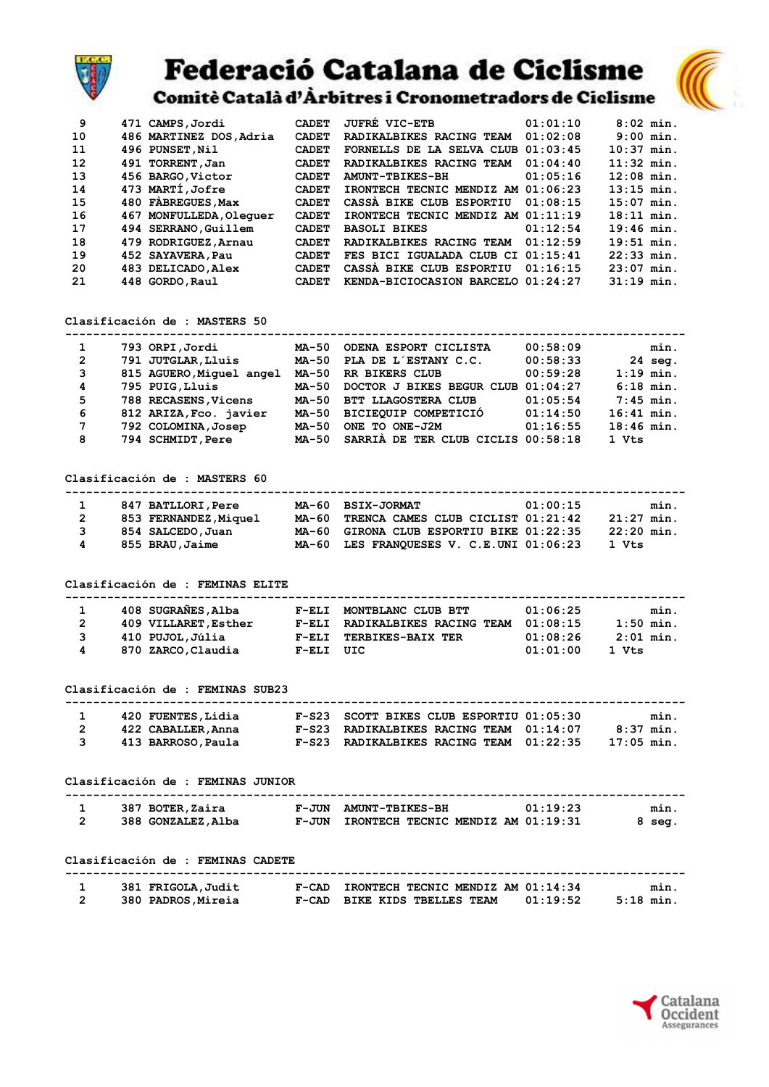

## **Federació Catalana de Ciclisme**

Comitè Català d'Àrbitres i Cronometradors de Ciclisme

| 9  | 471 CAMPS, Jordi        | <b>CADET</b> | <b>JUFRE VIC-ETB</b>               | 01:01:10 | $8:02$ min.  |
|----|-------------------------|--------------|------------------------------------|----------|--------------|
| 10 | 486 MARTINEZ DOS, Adria | <b>CADET</b> | RADIKALBIKES RACING TEAM           | 01:02:08 | $9:00$ min.  |
| 11 | 496 PUNSET, Nil         | <b>CADET</b> | FORNELLS DE LA SELVA CLUB          | 01:03:45 | $10:37$ min. |
| 12 | 491 TORRENT, Jan        | <b>CADET</b> | RADIKALBIKES RACING TEAM           | 01:04:40 | $11:32$ min. |
| 13 | 456 BARGO, Victor       | <b>CADET</b> | <b>AMUNT-TBIKES-BH</b>             | 01:05:16 | $12:08$ min. |
| 14 | 473 MARTÍ,Jofre         | <b>CADET</b> | IRONTECH TECNIC MENDIZ AM 01:06:23 |          | $13:15$ min. |
| 15 | 480 FABREGUES, Max      | <b>CADET</b> | CASSA BIKE CLUB ESPORTIU           | 01:08:15 | $15:07$ min. |
| 16 | 467 MONFULLEDA, Olequer | <b>CADET</b> | IRONTECH TECNIC MENDIZ AM 01:11:19 |          | $18:11$ min. |
| 17 | 494 SERRANO, Guillem    | <b>CADET</b> | <b>BASOLI BIKES</b>                | 01:12:54 | $19:46$ min. |
| 18 | 479 RODRIGUEZ, Arnau    | <b>CADET</b> | RADIKALBIKES RACING TEAM           | 01:12:59 | $19:51$ min. |
| 19 | 452 SAYAVERA, Pau       | <b>CADET</b> | FES BICI IGUALADA CLUB CI 01:15:41 |          | $22:33$ min. |
| 20 | 483 DELICADO, Alex      | <b>CADET</b> | CASSA BIKE CLUB ESPORTIU           | 01:16:15 | $23:07$ min. |
| 21 | 448 GORDO, Raul         | <b>CADET</b> | KENDA-BICIOCASION BARCELO 01:24:27 |          | $31:19$ min. |
|    |                         |              |                                    |          |              |

Clasificación de : MASTERS 50

| 1              | 793 ORPI, Jordi          | MA-50 | ODENA ESPORT CICLISTA              | 00:58:09 | min.              |
|----------------|--------------------------|-------|------------------------------------|----------|-------------------|
| $\overline{2}$ | 791 JUTGLAR, Lluís       | MA-50 | PLA DE L'ESTANY C.C.               | 00:58:33 | $24 \text{ seq.}$ |
| 3              | 815 AGUERO, Miquel angel | MA-50 | RR BIKERS CLUB                     | 00:59:28 | $1:19$ min.       |
| 4              | 795 PUIG, Lluis          | MA-50 | DOCTOR J BIKES BEGUR CLUB 01:04:27 |          | $6:18$ min.       |
| 5              | 788 RECASENS, Vicens     | MA-50 | BTT LLAGOSTERA CLUB                | 01:05:54 | $7:45$ min.       |
| 6              | 812 ARIZA, Fco. javier   | MA-50 | BICIEOUIP COMPETICIÓ               | 01:14:50 | $16:41$ min.      |
| $\overline{7}$ | 792 COLOMINA, Josep      | MA-50 | ONE TO ONE-J2M                     | 01:16:55 | $18:46$ min.      |
| 8              | 794 SCHMIDT, Pere        | MA-50 | SARRIA DE TER CLUB CICLIS 00:58:18 |          | 1 Vts             |

Clasificación de : MASTERS 60

|              | 847 BATLLORI, Pere    | MA-60 BSIX-JORMAT<br>01:00:15                            | min. |
|--------------|-----------------------|----------------------------------------------------------|------|
| $\mathbf{2}$ | 853 FERNANDEZ, Miquel | MA-60 TRENCA CAMES CLUB CICLIST 01:21:42<br>$21:27$ min. |      |
| 3            | 854 SALCEDO, Juan     | MA-60 GIRONA CLUB ESPORTIU BIKE 01:22:35<br>$22:20$ min. |      |
| 4            | 855 BRAU, Jaime       | MA-60 LES FRANQUESES V. C.E.UNI 01:06:23<br>1 Vts        |      |

Clasificación de : FEMINAS ELITE

|   | 408 SUGRANES, Alba   | $F-ELI$   | MONTBLANC CLUB BTT              | 01:06:25 | min.            |
|---|----------------------|-----------|---------------------------------|----------|-----------------|
| 2 | 409 VILLARET, Esther | $F-ELI$   | <b>RADIKALBIKES RACING TEAM</b> | 01:08:15 | $1:50$ min.     |
| 3 | 410 PUJOL,Júlia      |           | F-ELI TERBIKES-BAIX TER         | 01:08:26 | $2:01$ min.     |
| 4 | 870 ZARCO, Claudia   | F-ELI UIC |                                 | 01:01:00 | $1 \text{ Vts}$ |

Clasificación de : FEMINAS SUB23

| 420 FUENTES, Lidia | F-S23 SCOTT BIKES CLUB ESPORTIU 01:05:30    | min.         |
|--------------------|---------------------------------------------|--------------|
| 422 CABALLER, Anna | $F-S23$ RADIKALBIKES RACING TEAM $01:14:07$ | $8:37$ min.  |
| 413 BARROSO, Paula | F-S23 RADIKALBIKES RACING TEAM 01:22:35     | $17:05$ min. |

Clasificación de : FEMINAS JUNIOR

| 387 BOTER, Zaira   |       | F-JUN AMUNT-TBIKES-BH              | 01:19:23 | min.   |
|--------------------|-------|------------------------------------|----------|--------|
| 388 GONZALEZ, Alba | F-JUN | IRONTECH TECNIC MENDIZ AM 01:19:31 |          | 8 sea. |

Clasificación de : FEMINAS CADETE

| 381 FRIGOLA, Judit | IRONTECH TECNIC MENDIZ AM 01:14:34<br>$F-CAD$        | min.      |
|--------------------|------------------------------------------------------|-----------|
| 380 PADROS, Mireia | 01:19:52<br>$F-CAD$<br><b>BIKE KIDS TBELLES TEAM</b> | .5:18 min |